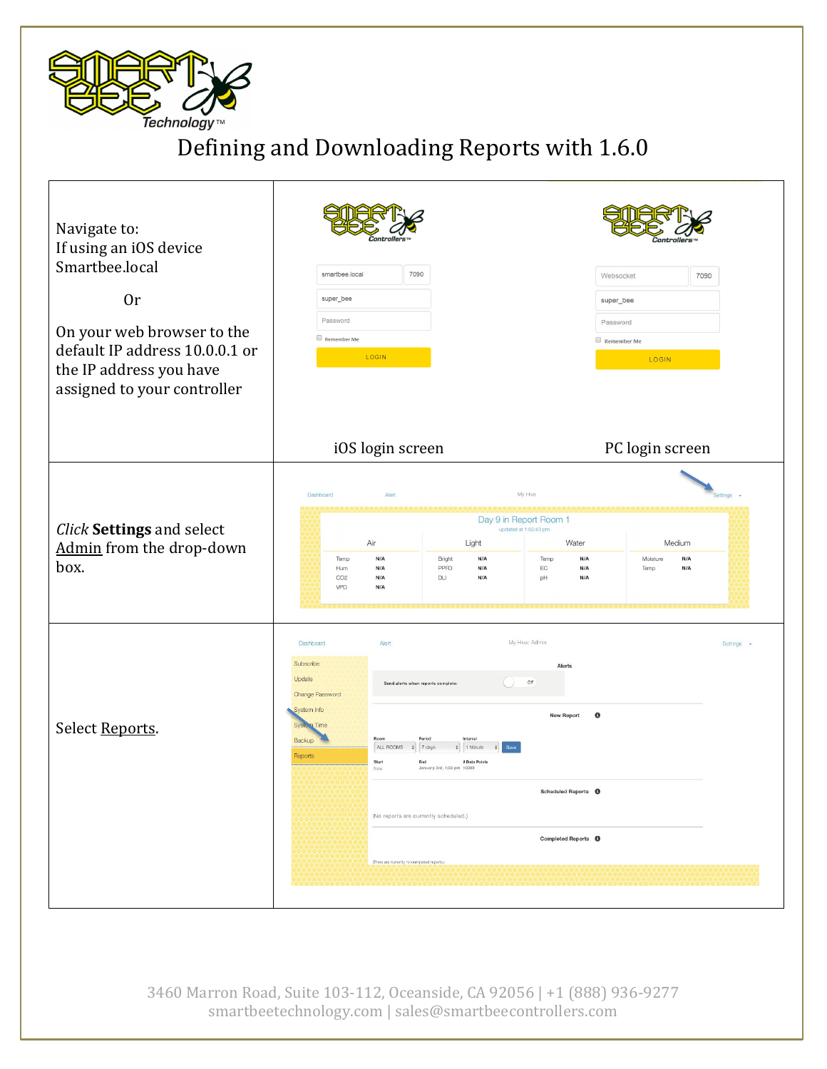

## Defining and Downloading Reports with 1.6.0

| Navigate to:<br>If using an iOS device<br>Smartbee.local<br><b>Or</b><br>On your web browser to the<br>default IP address 10.0.0.1 or<br>the IP address you have<br>assigned to your controller | smartbee.local<br>7090<br>super_bee<br>Password<br>Remember Me<br>LOGIN                                                                                                                                                                                                                                                 |                                                                                                                                                                                                                                    | 7090<br>Websocket<br>super_bee<br>Password<br>Remember Me<br>LOGIN     |                 |  |
|-------------------------------------------------------------------------------------------------------------------------------------------------------------------------------------------------|-------------------------------------------------------------------------------------------------------------------------------------------------------------------------------------------------------------------------------------------------------------------------------------------------------------------------|------------------------------------------------------------------------------------------------------------------------------------------------------------------------------------------------------------------------------------|------------------------------------------------------------------------|-----------------|--|
|                                                                                                                                                                                                 | iOS login screen                                                                                                                                                                                                                                                                                                        |                                                                                                                                                                                                                                    |                                                                        | PC login screen |  |
| Click Settings and select<br>Admin from the drop-down<br>box.                                                                                                                                   | Dashboard<br>Alert<br>Air<br>N/A<br>Temp<br>N/A<br>Hum<br>CO2<br>N/A<br>VPD<br>N/A                                                                                                                                                                                                                                      | My Hive<br>Day 9 in Report Room 1<br>updated at 1:02:43 pm<br>Light<br>N/A<br>Temp<br>Bright<br>PPFD<br>N/A<br>$\mathsf{EC}$<br>DLI<br>N/A<br>pH                                                                                   | Water<br>Medium<br>N/A<br>Moisture<br>N/A<br>N/A<br>N/A<br>Temp<br>N/A | Settings -      |  |
| Select Reports.                                                                                                                                                                                 | Dashboard<br>Alert<br>Subscribe<br>Update<br>Send alerts when reports complete:<br>Change Password<br>System Info<br>Time<br>System<br>Period<br>Backup<br>Room<br>ALL ROOMS<br>$\div$ 7 days<br>Reports<br>Start<br>End<br>Now<br>(No reports are currently scheduled.)<br>(There are currently no completed reports.) | My Hive: Admin<br>Alerts<br>$\mathbb{O}\mathbb{F}$<br><b>New Report</b><br>Interval<br>$\div$ 1 Minute<br>$\div$<br># Data Points<br>January 3rd, 1:03 pm 10080<br>Scheduled Reports $\quad \bullet$<br>Completed Reports <b>O</b> | $\bullet$                                                              | Settings -      |  |

3460 Marron Road, Suite 103-112, Oceanside, CA 92056 | +1 (888) 936-9277 smartbeetechnology.com | sales@smartbeecontrollers.com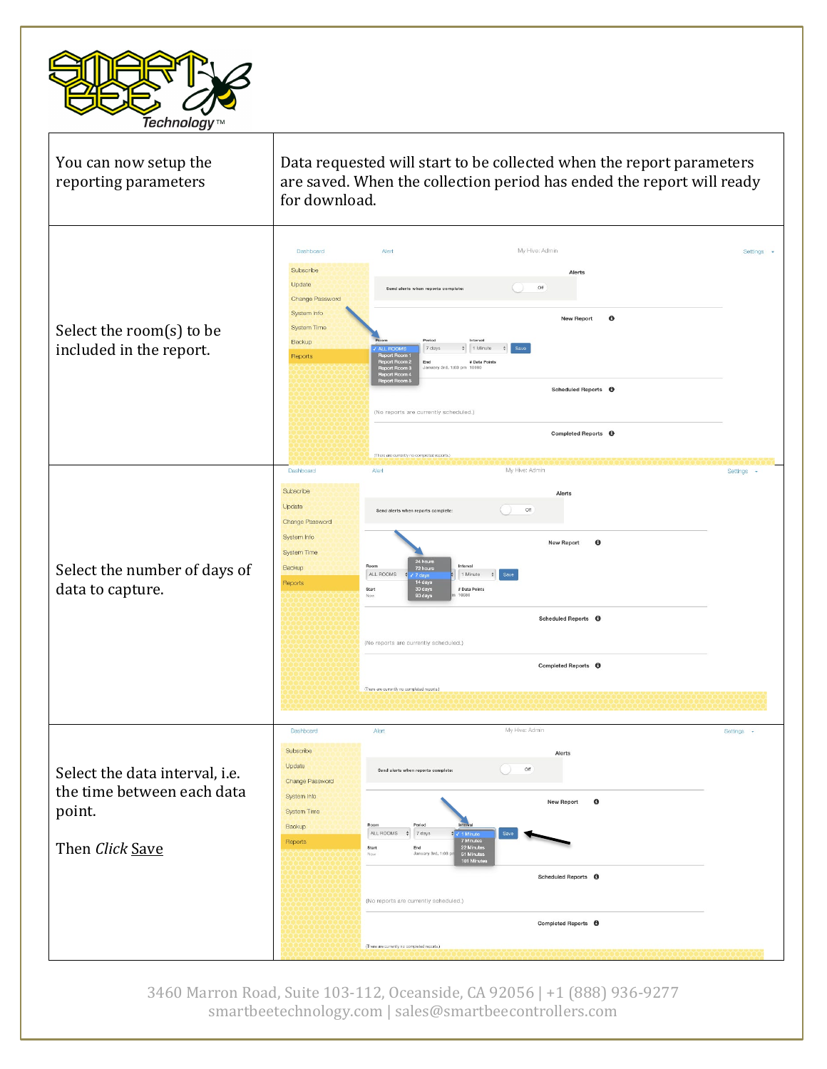



3460 Marron Road, Suite 103-112, Oceanside, CA 92056 | +1 (888) 936-9277 smartbeetechnology.com | sales@smartbeecontrollers.com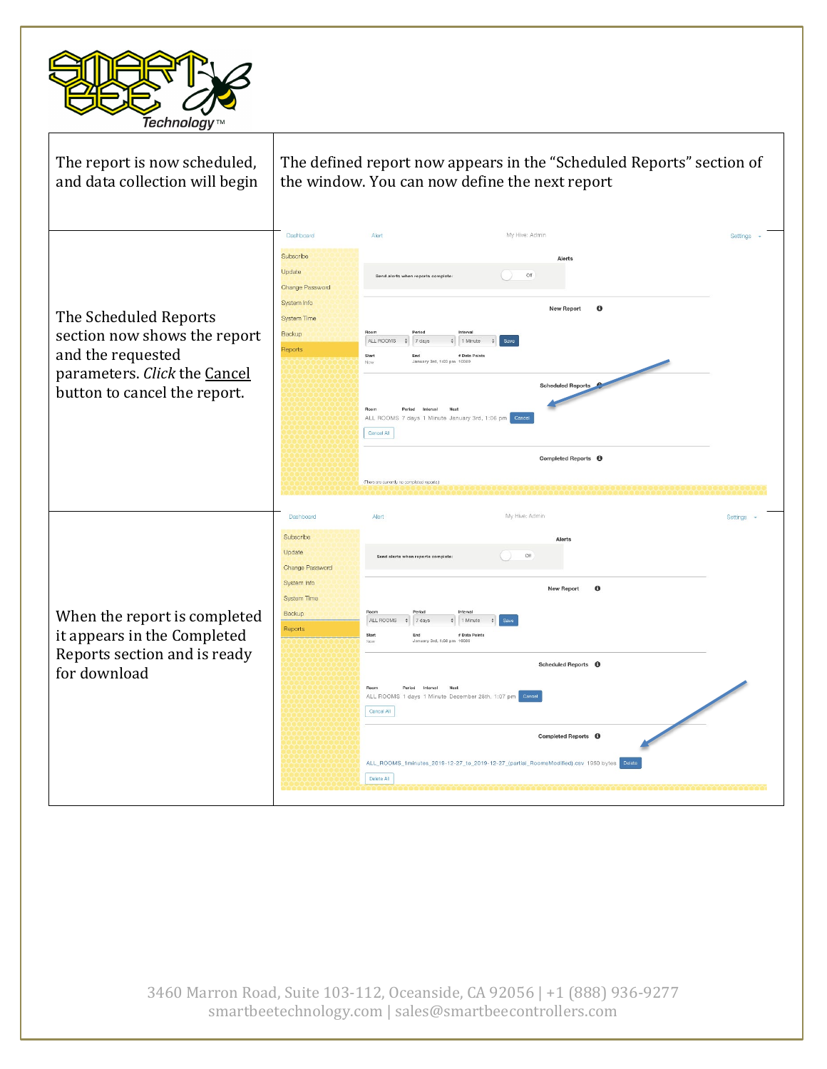

| The report is now scheduled,<br>and data collection will begin                                                                             | The defined report now appears in the "Scheduled Reports" section of<br>the window. You can now define the next report                                                                                                                                                                                                                                                                                                                                                                                                                       |            |  |  |
|--------------------------------------------------------------------------------------------------------------------------------------------|----------------------------------------------------------------------------------------------------------------------------------------------------------------------------------------------------------------------------------------------------------------------------------------------------------------------------------------------------------------------------------------------------------------------------------------------------------------------------------------------------------------------------------------------|------------|--|--|
| The Scheduled Reports<br>section now shows the report<br>and the requested<br>parameters. Click the Cancel<br>button to cancel the report. | My Hive: Admin<br>Dashboard<br>Alert<br>Subscribe<br>Alerts<br>Update<br>Off<br>Change Password<br>System Info<br>$\theta$<br><b>New Report</b><br><b>System Time</b><br>Backup<br>ALL ROOMS<br>7 days<br>1 Minute<br>Reports<br># Data Point<br>January 3rd, 1:03 pm 10080<br><b>Scheduled Reports</b><br>ALL ROOMS 7 days 1 Minute January 3rd, 1:06 pm<br>Cancel All<br>Completed Reports <b>O</b><br>(There are currently no completed reports.)                                                                                         | Settings - |  |  |
| When the report is completed<br>it appears in the Completed<br>Reports section and is ready<br>for download                                | My Hive: Admin<br>Dashboard<br>Alert<br>Subscribe<br>Alerts<br>Update<br>Off<br>Send alerts when reports complete<br>Change Password<br>System Info<br>$\theta$<br><b>New Report</b><br><b>System Time</b><br>Backup<br>ALL ROOMS<br>$\div$ 7 days<br>1 Minute<br>Reports<br>Start<br>End<br># Data Points<br>Scheduled Reports <b>O</b><br>ALL ROOMS 1 days 1 Minute December 28th, 1:07 pm<br>Cancel All<br>Completed Reports <b>O</b><br>ALL_ROOMS_1minutes_2019-12-27_to_2019-12-27_(partial_RoomsModified).csv 1950 bytes<br>Delete All | Settinas - |  |  |